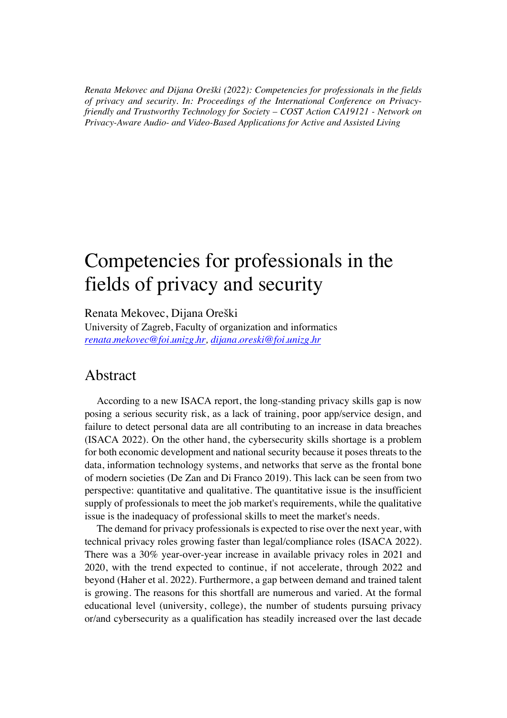*Renata Mekovec and Dijana Oreški (2022): Competencies for professionals in the fields of privacy and security. In: Proceedings of the International Conference on Privacyfriendly and Trustworthy Technology for Society – COST Action CA19121 - Network on Privacy-Aware Audio- and Video-Based Applications for Active and Assisted Living*

## Competencies for professionals in the fields of privacy and security

Renata Mekovec, Dijana Oreški

University of Zagreb, Faculty of organization and informatics *renata.mekovec@foi.unizg.hr, dijana.oreski@foi.unizg.hr*

## Abstract

According to a new ISACA report, the long-standing privacy skills gap is now posing a serious security risk, as a lack of training, poor app/service design, and failure to detect personal data are all contributing to an increase in data breaches (ISACA 2022). On the other hand, the cybersecurity skills shortage is a problem for both economic development and national security because it poses threats to the data, information technology systems, and networks that serve as the frontal bone of modern societies (De Zan and Di Franco 2019). This lack can be seen from two perspective: quantitative and qualitative. The quantitative issue is the insufficient supply of professionals to meet the job market's requirements, while the qualitative issue is the inadequacy of professional skills to meet the market's needs.

The demand for privacy professionals is expected to rise over the next year, with technical privacy roles growing faster than legal/compliance roles (ISACA 2022). There was a 30% year-over-year increase in available privacy roles in 2021 and 2020, with the trend expected to continue, if not accelerate, through 2022 and beyond (Haher et al. 2022). Furthermore, a gap between demand and trained talent is growing. The reasons for this shortfall are numerous and varied. At the formal educational level (university, college), the number of students pursuing privacy or/and cybersecurity as a qualification has steadily increased over the last decade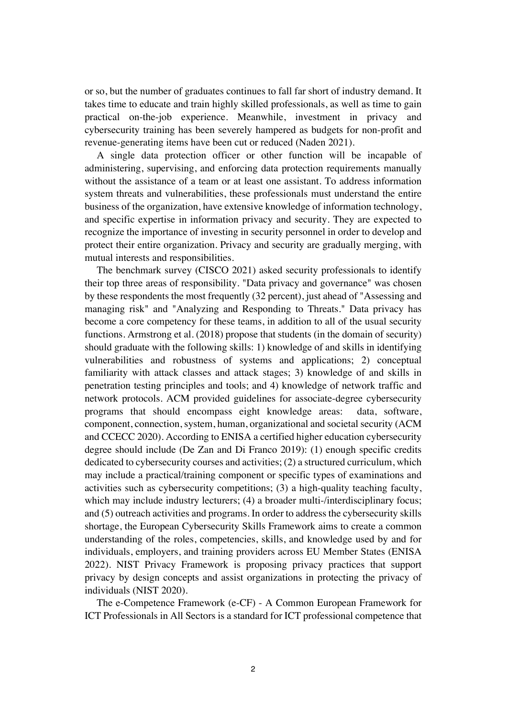or so, but the number of graduates continues to fall far short of industry demand. It takes time to educate and train highly skilled professionals, as well as time to gain practical on-the-job experience. Meanwhile, investment in privacy and cybersecurity training has been severely hampered as budgets for non-profit and revenue-generating items have been cut or reduced (Naden 2021).

A single data protection officer or other function will be incapable of administering, supervising, and enforcing data protection requirements manually without the assistance of a team or at least one assistant. To address information system threats and vulnerabilities, these professionals must understand the entire business of the organization, have extensive knowledge of information technology, and specific expertise in information privacy and security. They are expected to recognize the importance of investing in security personnel in order to develop and protect their entire organization. Privacy and security are gradually merging, with mutual interests and responsibilities.

The benchmark survey (CISCO 2021) asked security professionals to identify their top three areas of responsibility. "Data privacy and governance" was chosen by these respondents the most frequently (32 percent), just ahead of "Assessing and managing risk" and "Analyzing and Responding to Threats." Data privacy has become a core competency for these teams, in addition to all of the usual security functions. Armstrong et al. (2018) propose that students (in the domain of security) should graduate with the following skills: 1) knowledge of and skills in identifying vulnerabilities and robustness of systems and applications; 2) conceptual familiarity with attack classes and attack stages; 3) knowledge of and skills in penetration testing principles and tools; and 4) knowledge of network traffic and network protocols. ACM provided guidelines for associate-degree cybersecurity programs that should encompass eight knowledge areas: data, software, component, connection, system, human, organizational and societal security (ACM and CCECC 2020). According to ENISA a certified higher education cybersecurity degree should include (De Zan and Di Franco 2019): (1) enough specific credits dedicated to cybersecurity courses and activities; (2) a structured curriculum, which may include a practical/training component or specific types of examinations and activities such as cybersecurity competitions; (3) a high-quality teaching faculty, which may include industry lecturers; (4) a broader multi-/interdisciplinary focus; and (5) outreach activities and programs. In order to address the cybersecurity skills shortage, the European Cybersecurity Skills Framework aims to create a common understanding of the roles, competencies, skills, and knowledge used by and for individuals, employers, and training providers across EU Member States (ENISA 2022). NIST Privacy Framework is proposing privacy practices that support privacy by design concepts and assist organizations in protecting the privacy of individuals (NIST 2020).

The e-Competence Framework (e-CF) - A Common European Framework for ICT Professionals in All Sectors is a standard for ICT professional competence that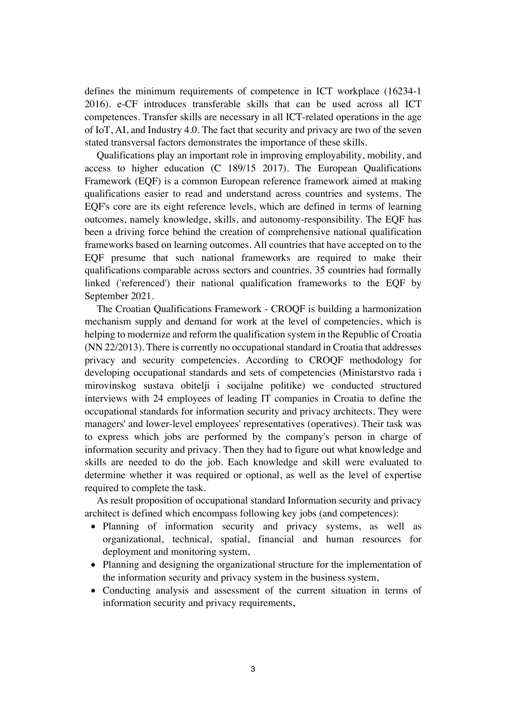defines the minimum requirements of competence in ICT workplace (16234-1 2016). e-CF introduces transferable skills that can be used across all ICT competences. Transfer skills are necessary in all ICT-related operations in the age of IoT, AI, and Industry 4.0. The fact that security and privacy are two of the seven stated transversal factors demonstrates the importance of these skills.

Qualifications play an important role in improving employability, mobility, and access to higher education (C 189/15 2017). The European Qualifications Framework (EQF) is a common European reference framework aimed at making qualifications easier to read and understand across countries and systems. The EQF's core are its eight reference levels, which are defined in terms of learning outcomes, namely knowledge, skills, and autonomy-responsibility. The EQF has been a driving force behind the creation of comprehensive national qualification frameworks based on learning outcomes. All countries that have accepted on to the EQF presume that such national frameworks are required to make their qualifications comparable across sectors and countries. 35 countries had formally linked ('referenced') their national qualification frameworks to the EQF by September 2021.

The Croatian Qualifications Framework - CROQF is building a harmonization mechanism supply and demand for work at the level of competencies, which is helping to modernize and reform the qualification system in the Republic of Croatia (NN 22/2013). There is currently no occupational standard in Croatia that addresses privacy and security competencies. According to CROQF methodology for developing occupational standards and sets of competencies (Ministarstvo rada i mirovinskog sustava obitelji i socijalne politike) we conducted structured interviews with 24 employees of leading IT companies in Croatia to define the occupational standards for information security and privacy architects. They were managers' and lower-level employees' representatives (operatives). Their task was to express which jobs are performed by the company's person in charge of information security and privacy. Then they had to figure out what knowledge and skills are needed to do the job. Each knowledge and skill were evaluated to determine whether it was required or optional, as well as the level of expertise required to complete the task.

As result proposition of occupational standard Information security and privacy architect is defined which encompass following key jobs (and competences):

- Planning of information security and privacy systems, as well as organizational, technical, spatial, financial and human resources for deployment and monitoring system,
- Planning and designing the organizational structure for the implementation of the information security and privacy system in the business system,
- Conducting analysis and assessment of the current situation in terms of information security and privacy requirements,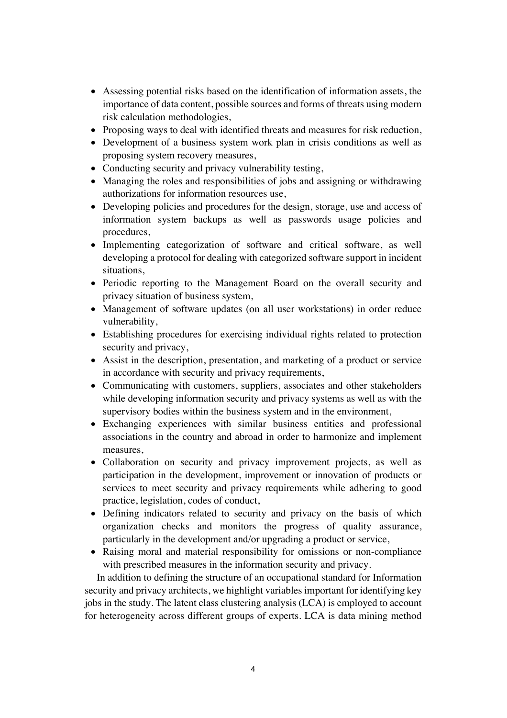- Assessing potential risks based on the identification of information assets, the importance of data content, possible sources and forms of threats using modern risk calculation methodologies,
- Proposing ways to deal with identified threats and measures for risk reduction,
- Development of a business system work plan in crisis conditions as well as proposing system recovery measures,
- Conducting security and privacy vulnerability testing,
- Managing the roles and responsibilities of jobs and assigning or withdrawing authorizations for information resources use,
- Developing policies and procedures for the design, storage, use and access of information system backups as well as passwords usage policies and procedures,
- Implementing categorization of software and critical software, as well developing a protocol for dealing with categorized software support in incident situations,
- Periodic reporting to the Management Board on the overall security and privacy situation of business system,
- Management of software updates (on all user workstations) in order reduce vulnerability,
- Establishing procedures for exercising individual rights related to protection security and privacy,
- Assist in the description, presentation, and marketing of a product or service in accordance with security and privacy requirements,
- Communicating with customers, suppliers, associates and other stakeholders while developing information security and privacy systems as well as with the supervisory bodies within the business system and in the environment,
- Exchanging experiences with similar business entities and professional associations in the country and abroad in order to harmonize and implement measures,
- Collaboration on security and privacy improvement projects, as well as participation in the development, improvement or innovation of products or services to meet security and privacy requirements while adhering to good practice, legislation, codes of conduct,
- Defining indicators related to security and privacy on the basis of which organization checks and monitors the progress of quality assurance, particularly in the development and/or upgrading a product or service,
- Raising moral and material responsibility for omissions or non-compliance with prescribed measures in the information security and privacy.

In addition to defining the structure of an occupational standard for Information security and privacy architects, we highlight variables important for identifying key jobs in the study. The latent class clustering analysis (LCA) is employed to account for heterogeneity across different groups of experts. LCA is data mining method